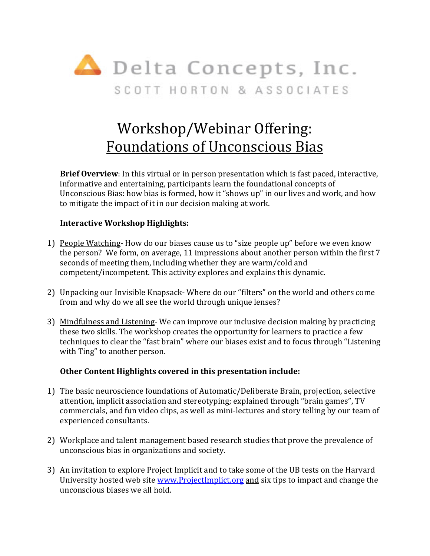

# Workshop/Webinar Offering: Foundations of Unconscious Bias

**Brief Overview**: In this virtual or in person presentation which is fast paced, interactive, informative and entertaining, participants learn the foundational concepts of Unconscious Bias: how bias is formed, how it "shows up" in our lives and work, and how to mitigate the impact of it in our decision making at work.

### **Interactive Workshop Highlights:**

- 1) People Watching- How do our biases cause us to "size people up" before we even know the person? We form, on average, 11 impressions about another person within the first 7 seconds of meeting them, including whether they are warm/cold and competent/incompetent. This activity explores and explains this dynamic.
- 2) Unpacking our Invisible Knapsack- Where do our "filters" on the world and others come from and why do we all see the world through unique lenses?
- 3) Mindfulness and Listening- We can improve our inclusive decision making by practicing these two skills. The workshop creates the opportunity for learners to practice a few techniques to clear the "fast brain" where our biases exist and to focus through "Listening with Ting" to another person.

#### **Other Content Highlights covered in this presentation include:**

- 1) The basic neuroscience foundations of Automatic/Deliberate Brain, projection, selective attention, implicit association and stereotyping; explained through "brain games", TV commercials, and fun video clips, as well as mini-lectures and story telling by our team of experienced consultants.
- 2) Workplace and talent management based research studies that prove the prevalence of unconscious bias in organizations and society.
- 3) An invitation to explore Project Implicit and to take some of the UB tests on the Harvard University hosted web site www.ProjectImplict.org and six tips to impact and change the unconscious biases we all hold.